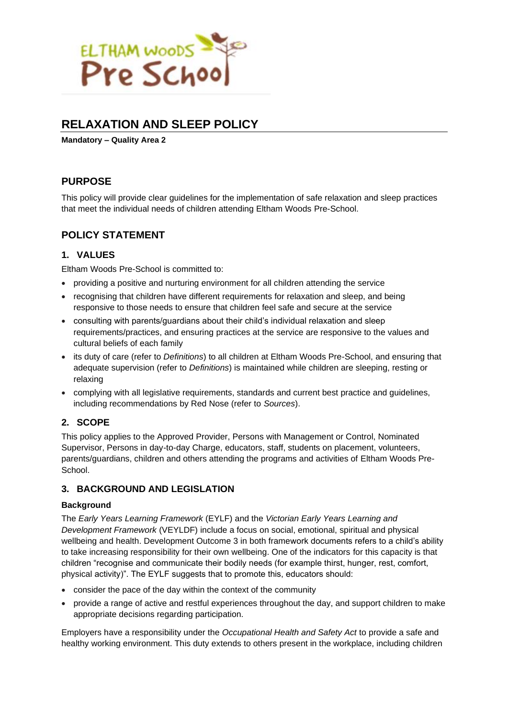

# **RELAXATION AND SLEEP POLICY**

**Mandatory – Quality Area 2**

## **PURPOSE**

This policy will provide clear guidelines for the implementation of safe relaxation and sleep practices that meet the individual needs of children attending Eltham Woods Pre-School.

## **POLICY STATEMENT**

### **1. VALUES**

Eltham Woods Pre-School is committed to:

- providing a positive and nurturing environment for all children attending the service
- recognising that children have different requirements for relaxation and sleep, and being responsive to those needs to ensure that children feel safe and secure at the service
- consulting with parents/guardians about their child's individual relaxation and sleep requirements/practices, and ensuring practices at the service are responsive to the values and cultural beliefs of each family
- its duty of care (refer to *Definitions*) to all children at Eltham Woods Pre-School, and ensuring that adequate supervision (refer to *Definitions*) is maintained while children are sleeping, resting or relaxing
- complying with all legislative requirements, standards and current best practice and guidelines, including recommendations by Red Nose (refer to *Sources*).

### **2. SCOPE**

This policy applies to the Approved Provider, Persons with Management or Control, Nominated Supervisor, Persons in day-to-day Charge, educators, staff, students on placement, volunteers, parents/guardians, children and others attending the programs and activities of Eltham Woods Pre-**School.** 

### **3. BACKGROUND AND LEGISLATION**

### **Background**

The *Early Years Learning Framework* (EYLF) and the *Victorian Early Years Learning and Development Framework* (VEYLDF) include a focus on social, emotional, spiritual and physical wellbeing and health. Development Outcome 3 in both framework documents refers to a child's ability to take increasing responsibility for their own wellbeing. One of the indicators for this capacity is that children "recognise and communicate their bodily needs (for example thirst, hunger, rest, comfort, physical activity)". The EYLF suggests that to promote this, educators should:

- consider the pace of the day within the context of the community
- provide a range of active and restful experiences throughout the day, and support children to make appropriate decisions regarding participation.

Employers have a responsibility under the *Occupational Health and Safety Act* to provide a safe and healthy working environment. This duty extends to others present in the workplace, including children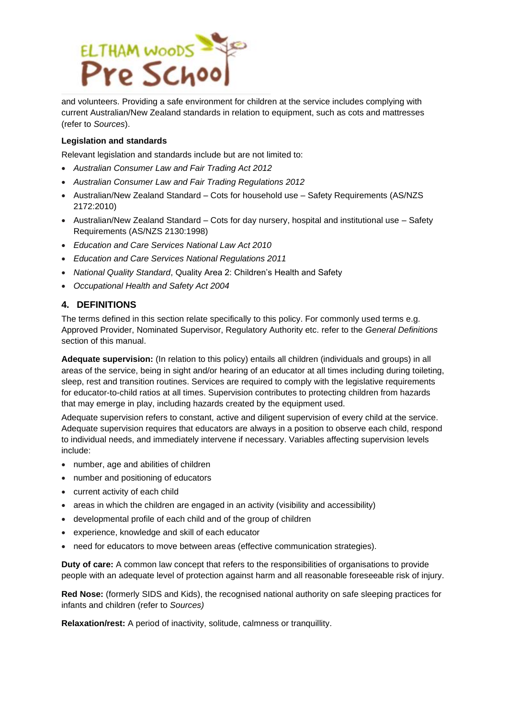

and volunteers. Providing a safe environment for children at the service includes complying with current Australian/New Zealand standards in relation to equipment, such as cots and mattresses (refer to *Sources*).

#### **Legislation and standards**

Relevant legislation and standards include but are not limited to:

- *Australian Consumer Law and Fair Trading Act 2012*
- *Australian Consumer Law and Fair Trading Regulations 2012*
- Australian/New Zealand Standard Cots for household use Safety Requirements (AS/NZS 2172:2010)
- Australian/New Zealand Standard Cots for day nursery, hospital and institutional use Safety Requirements (AS/NZS 2130:1998)
- *Education and Care Services National Law Act 2010*
- *Education and Care Services National Regulations 2011*
- *National Quality Standard*, Quality Area 2: Children's Health and Safety
- *Occupational Health and Safety Act 2004*

### **4. DEFINITIONS**

The terms defined in this section relate specifically to this policy. For commonly used terms e.g. Approved Provider, Nominated Supervisor, Regulatory Authority etc. refer to the *General Definitions* section of this manual.

**Adequate supervision:** (In relation to this policy) entails all children (individuals and groups) in all areas of the service, being in sight and/or hearing of an educator at all times including during toileting, sleep, rest and transition routines. Services are required to comply with the legislative requirements for educator-to-child ratios at all times. Supervision contributes to protecting children from hazards that may emerge in play, including hazards created by the equipment used.

Adequate supervision refers to constant, active and diligent supervision of every child at the service. Adequate supervision requires that educators are always in a position to observe each child, respond to individual needs, and immediately intervene if necessary. Variables affecting supervision levels include:

- number, age and abilities of children
- number and positioning of educators
- current activity of each child
- areas in which the children are engaged in an activity (visibility and accessibility)
- developmental profile of each child and of the group of children
- experience, knowledge and skill of each educator
- need for educators to move between areas (effective communication strategies).

**Duty of care:** A common law concept that refers to the responsibilities of organisations to provide people with an adequate level of protection against harm and all reasonable foreseeable risk of injury.

**Red Nose:** (formerly SIDS and Kids), the recognised national authority on safe sleeping practices for infants and children (refer to *Sources)*

**Relaxation/rest:** A period of inactivity, solitude, calmness or tranquillity.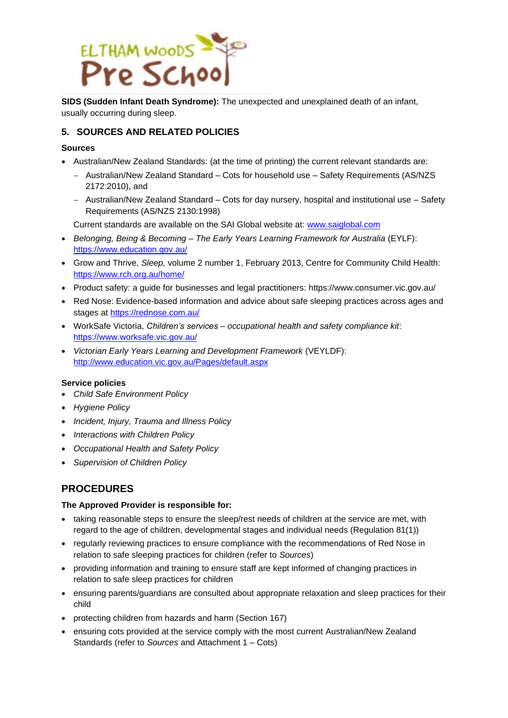

**SIDS (Sudden Infant Death Syndrome):** The unexpected and unexplained death of an infant, usually occurring during sleep.

### **5. SOURCES AND RELATED POLICIES**

### **Sources**

- Australian/New Zealand Standards: (at the time of printing) the current relevant standards are:
	- − Australian/New Zealand Standard Cots for household use Safety Requirements (AS/NZS 2172:2010), and
	- − Australian/New Zealand Standard Cots for day nursery, hospital and institutional use Safety Requirements (AS/NZS 2130:1998)

Current standards are available on the SAI Global website at: [www.saiglobal.com](http://www.saiglobal.com/)

- *Belonging, Being & Becoming – The Early Years Learning Framework for Australia* (EYLF): <https://www.education.gov.au/>
- Grow and Thrive, *Sleep,* volume 2 number 1, February 2013, Centre for Community Child Health: <https://www.rch.org.au/home/>
- Product safety: a guide for businesses and legal practitioners: https://www.consumer.vic.gov.au/
- Red Nose: Evidence-based information and advice about safe sleeping practices across ages and stages at<https://rednose.com.au/>
- WorkSafe Victoria, *Children's services – occupational health and safety compliance kit*: <https://www.worksafe.vic.gov.au/>
- *Victorian Early Years Learning and Development Framework* (VEYLDF): <http://www.education.vic.gov.au/Pages/default.aspx>

### **Service policies**

- *Child Safe Environment Policy*
- *Hygiene Policy*
- *Incident, Injury, Trauma and Illness Policy*
- *Interactions with Children Policy*
- *Occupational Health and Safety Policy*
- *Supervision of Children Policy*

### **PROCEDURES**

#### **The Approved Provider is responsible for:**

- taking reasonable steps to ensure the sleep/rest needs of children at the service are met, with regard to the age of children, developmental stages and individual needs (Regulation 81(1))
- regularly reviewing practices to ensure compliance with the recommendations of Red Nose in relation to safe sleeping practices for children (refer to *Sources*)
- providing information and training to ensure staff are kept informed of changing practices in relation to safe sleep practices for children
- ensuring parents/guardians are consulted about appropriate relaxation and sleep practices for their child
- protecting children from hazards and harm (Section 167)
- ensuring cots provided at the service comply with the most current Australian/New Zealand Standards (refer to *Sources* and Attachment 1 – Cots)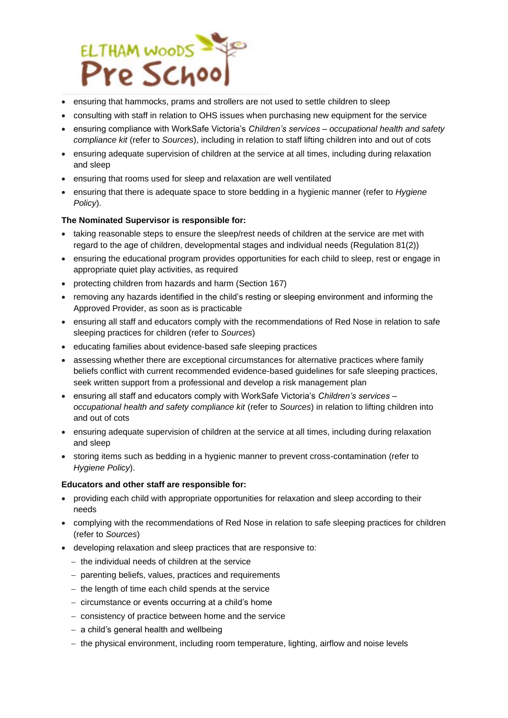

- ensuring that hammocks, prams and strollers are not used to settle children to sleep
- consulting with staff in relation to OHS issues when purchasing new equipment for the service
- ensuring compliance with WorkSafe Victoria's *Children's services – occupational health and safety compliance kit* (refer to *Sources*), including in relation to staff lifting children into and out of cots
- ensuring adequate supervision of children at the service at all times, including during relaxation and sleep
- ensuring that rooms used for sleep and relaxation are well ventilated
- ensuring that there is adequate space to store bedding in a hygienic manner (refer to *Hygiene Policy*).

### **The Nominated Supervisor is responsible for:**

- taking reasonable steps to ensure the sleep/rest needs of children at the service are met with regard to the age of children, developmental stages and individual needs (Regulation 81(2))
- ensuring the educational program provides opportunities for each child to sleep, rest or engage in appropriate quiet play activities, as required
- protecting children from hazards and harm (Section 167)
- removing any hazards identified in the child's resting or sleeping environment and informing the Approved Provider, as soon as is practicable
- ensuring all staff and educators comply with the recommendations of Red Nose in relation to safe sleeping practices for children (refer to *Sources*)
- educating families about evidence-based safe sleeping practices
- assessing whether there are exceptional circumstances for alternative practices where family beliefs conflict with current recommended evidence-based guidelines for safe sleeping practices, seek written support from a professional and develop a risk management plan
- ensuring all staff and educators comply with WorkSafe Victoria's *Children's services – occupational health and safety compliance kit* (refer to *Sources*) in relation to lifting children into and out of cots
- ensuring adequate supervision of children at the service at all times, including during relaxation and sleep
- storing items such as bedding in a hygienic manner to prevent cross-contamination (refer to *Hygiene Policy*).

### **Educators and other staff are responsible for:**

- providing each child with appropriate opportunities for relaxation and sleep according to their needs
- complying with the recommendations of Red Nose in relation to safe sleeping practices for children (refer to *Sources*)
- developing relaxation and sleep practices that are responsive to:
	- − the individual needs of children at the service
	- − parenting beliefs, values, practices and requirements
	- − the length of time each child spends at the service
	- − circumstance or events occurring at a child's home
	- − consistency of practice between home and the service
	- − a child's general health and wellbeing
	- − the physical environment, including room temperature, lighting, airflow and noise levels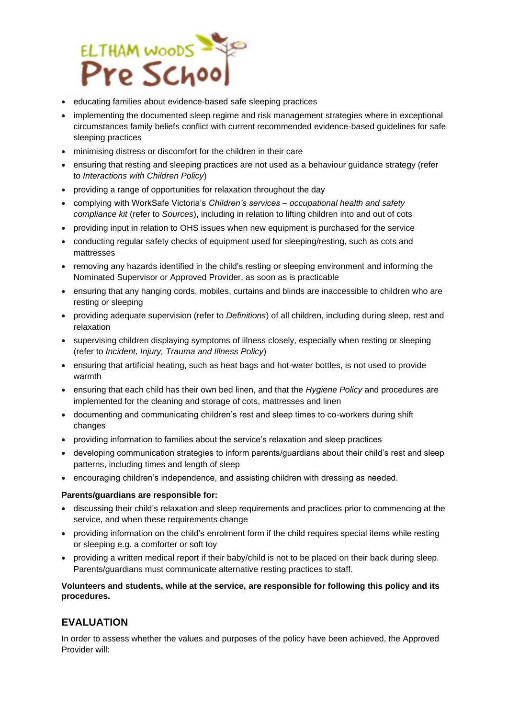

- educating families about evidence-based safe sleeping practices
- implementing the documented sleep regime and risk management strategies where in exceptional circumstances family beliefs conflict with current recommended evidence-based guidelines for safe sleeping practices
- minimising distress or discomfort for the children in their care
- ensuring that resting and sleeping practices are not used as a behaviour guidance strategy (refer to *Interactions with Children Policy*)
- providing a range of opportunities for relaxation throughout the day
- complying with WorkSafe Victoria's *Children's services – occupational health and safety compliance kit* (refer to *Sources*), including in relation to lifting children into and out of cots
- providing input in relation to OHS issues when new equipment is purchased for the service
- conducting regular safety checks of equipment used for sleeping/resting, such as cots and mattresses
- removing any hazards identified in the child's resting or sleeping environment and informing the Nominated Supervisor or Approved Provider, as soon as is practicable
- ensuring that any hanging cords, mobiles, curtains and blinds are inaccessible to children who are resting or sleeping
- providing adequate supervision (refer to *Definitions*) of all children, including during sleep, rest and relaxation
- supervising children displaying symptoms of illness closely, especially when resting or sleeping (refer to *Incident, Injury, Trauma and Illness Policy*)
- ensuring that artificial heating, such as heat bags and hot-water bottles, is not used to provide warmth
- ensuring that each child has their own bed linen, and that the *Hygiene Policy* and procedures are implemented for the cleaning and storage of cots, mattresses and linen
- documenting and communicating children's rest and sleep times to co-workers during shift changes
- providing information to families about the service's relaxation and sleep practices
- developing communication strategies to inform parents/guardians about their child's rest and sleep patterns, including times and length of sleep
- encouraging children's independence, and assisting children with dressing as needed.

#### **Parents/guardians are responsible for:**

- discussing their child's relaxation and sleep requirements and practices prior to commencing at the service, and when these requirements change
- providing information on the child's enrolment form if the child requires special items while resting or sleeping e.g. a comforter or soft toy
- providing a written medical report if their baby/child is not to be placed on their back during sleep. Parents/guardians must communicate alternative resting practices to staff.

### **Volunteers and students, while at the service, are responsible for following this policy and its procedures.**

### **EVALUATION**

In order to assess whether the values and purposes of the policy have been achieved, the Approved Provider will: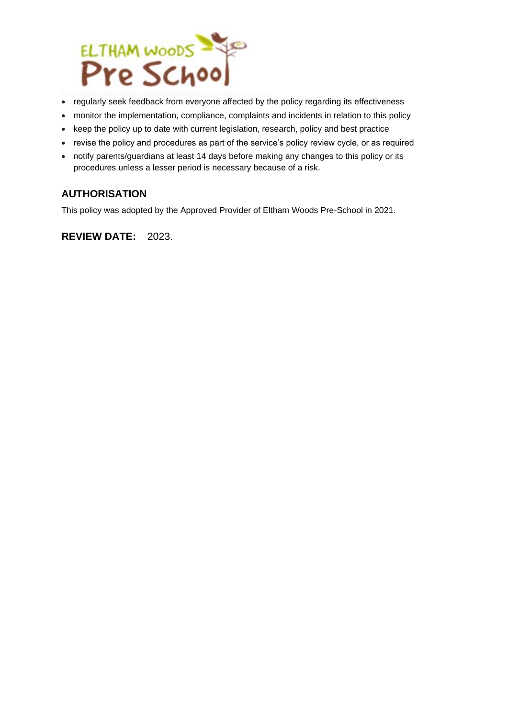

- regularly seek feedback from everyone affected by the policy regarding its effectiveness
- monitor the implementation, compliance, complaints and incidents in relation to this policy
- keep the policy up to date with current legislation, research, policy and best practice
- revise the policy and procedures as part of the service's policy review cycle, or as required
- notify parents/guardians at least 14 days before making any changes to this policy or its procedures unless a lesser period is necessary because of a risk.

### **AUTHORISATION**

This policy was adopted by the Approved Provider of Eltham Woods Pre-School in 2021.

**REVIEW DATE:** 2023.